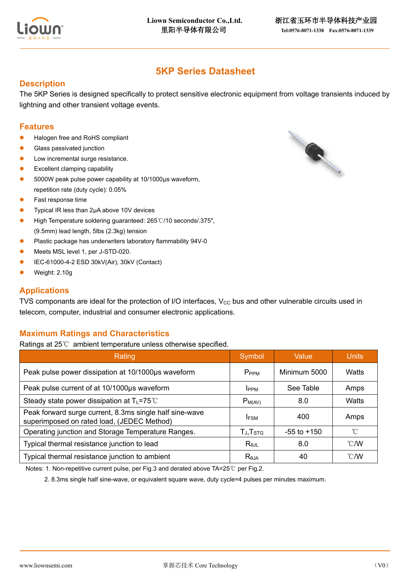

# **5KP Series Datasheet**

### **Description**

The 5KP Series is designed specifically to protect sensitive electronic equipment from voltage transients induced by lightning and other transient voltage events.

### **Features**

- Halogen free and RoHS compliant
- Glass passivated junction
- Low incremental surge resistance.
- ⚫ Excellent clamping capability
- ⚫ 5000W peak pulse power capability at 10/1000μs waveform, repetition rate (duty cycle): 0.05%
- ⚫ Fast response time
- ⚫ Typical IR less than 2μA above 10V devices
- ⚫ High Temperature soldering guaranteed: 265℃/10 seconds/.375″, (9.5mm) lead length, 5lbs (2.3kg) tension
- Plastic package has underwriters laboratory flammability 94V-0
- ⚫ Meets MSL level 1, per J-STD-020.
- ⚫ IEC-61000-4-2 ESD 30kV(Air), 30kV (Contact)
- ⚫ Weight: 2.10g

### **Applications**

TVS componants are ideal for the protection of I/O interfaces,  $V_{CC}$  bus and other vulnerable circuits used in telecom, computer, industrial and consumer electronic applications.

### **Maximum Ratings and Characteristics**

Ratings at 25℃ ambient temperature unless otherwise specified.

| Rating                                                                                                | Symbol               | Value           | <b>Units</b>   |
|-------------------------------------------------------------------------------------------------------|----------------------|-----------------|----------------|
| Peak pulse power dissipation at 10/1000µs waveform                                                    | P <sub>PPM</sub>     | Minimum 5000    | Watts          |
| Peak pulse current of at 10/1000µs waveform                                                           | <b>IPPM</b>          | See Table       | Amps           |
| Steady state power dissipation at $T_L$ =75°C                                                         | $P_{M(AV)}$          | 8.0             | Watts          |
| Peak forward surge current, 8.3ms single half sine-wave<br>superimposed on rated load, (JEDEC Method) | <b>IFSM</b>          | 400             | Amps           |
| Operating junction and Storage Temperature Ranges.                                                    | TJ, T <sub>STG</sub> | $-55$ to $+150$ | °C             |
| Typical thermal resistance junction to lead                                                           | $R_{\theta$ JL       | 8.0             | $^{\circ}$ C/W |
| Typical thermal resistance junction to ambient                                                        | $R_{\theta$ JA       | 40              | $^{\circ}$ C/W |

Notes: 1. Non-repetitive current pulse, per Fig.3 and derated above TA=25℃ per Fig.2.

2. 8.3ms single half sine-wave, or equivalent square wave, duty cycle=4 pulses per minutes maximum.

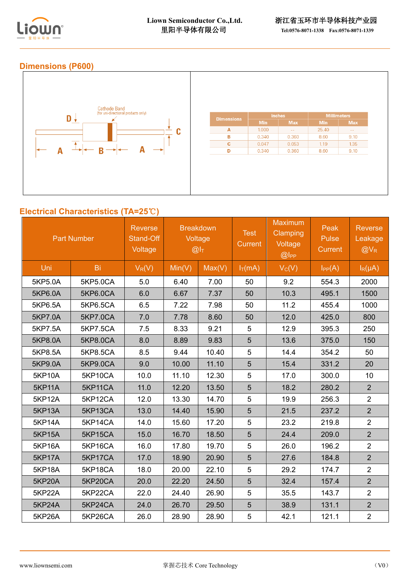

# **Dimensions (P600)**



# **Electrical Characteristics (TA=25**℃**)**

| <b>Part Number</b> |          | <b>Reverse</b><br>Stand-Off<br>Voltage | <b>Breakdown</b><br>Voltage<br>@I <sub>T</sub> |        | <b>Test</b><br><b>Current</b> | <b>Maximum</b><br><b>Clamping</b><br>Voltage<br>@ | Peak<br>Pulse<br><b>Current</b> | Reverse<br>Leakage<br>$@V_R$ |
|--------------------|----------|----------------------------------------|------------------------------------------------|--------|-------------------------------|---------------------------------------------------|---------------------------------|------------------------------|
| Uni                | Bi       | $V_R(V)$                               | Min(V)                                         | Max(V) | $I_T(mA)$                     | $V_C(V)$                                          | $I_{PP}(A)$                     | $I_R(\mu A)$                 |
| 5KP5.0A            | 5KP5.0CA | 5.0                                    | 6.40                                           | 7.00   | 50                            | 9.2                                               | 554.3                           | 2000                         |
| 5KP6.0A            | 5KP6.0CA | 6.0                                    | 6.67                                           | 7.37   | 50                            | 10.3                                              | 495.1                           | 1500                         |
| 5KP6.5A            | 5KP6.5CA | 6.5                                    | 7.22                                           | 7.98   | 50                            | 11.2                                              | 455.4                           | 1000                         |
| 5KP7.0A            | 5KP7.0CA | 7.0                                    | 7.78                                           | 8.60   | 50                            | 12.0                                              | 425.0                           | 800                          |
| 5KP7.5A            | 5KP7.5CA | 7.5                                    | 8.33                                           | 9.21   | 5                             | 12.9                                              | 395.3                           | 250                          |
| 5KP8.0A            | 5KP8.0CA | 8.0                                    | 8.89                                           | 9.83   | $\overline{5}$                | 13.6                                              | 375.0                           | 150                          |
| 5KP8.5A            | 5KP8.5CA | 8.5                                    | 9.44                                           | 10.40  | 5                             | 14.4                                              | 354.2                           | 50                           |
| 5KP9.0A            | 5KP9.0CA | 9.0                                    | 10.00                                          | 11.10  | 5                             | 15.4                                              | 331.2                           | 20                           |
| <b>5KP10A</b>      | 5KP10CA  | 10.0                                   | 11.10                                          | 12.30  | 5                             | 17.0                                              | 300.0                           | 10                           |
| <b>5KP11A</b>      | 5KP11CA  | 11.0                                   | 12.20                                          | 13.50  | 5                             | 18.2                                              | 280.2                           | 2                            |
| <b>5KP12A</b>      | 5KP12CA  | 12.0                                   | 13.30                                          | 14.70  | 5                             | 19.9                                              | 256.3                           | $\overline{2}$               |
| <b>5KP13A</b>      | 5KP13CA  | 13.0                                   | 14.40                                          | 15.90  | 5                             | 21.5                                              | 237.2                           | $\overline{2}$               |
| <b>5KP14A</b>      | 5KP14CA  | 14.0                                   | 15.60                                          | 17.20  | 5                             | 23.2                                              | 219.8                           | $\overline{2}$               |
| <b>5KP15A</b>      | 5KP15CA  | 15.0                                   | 16.70                                          | 18.50  | 5                             | 24.4                                              | 209.0                           | $\overline{2}$               |
| <b>5KP16A</b>      | 5KP16CA  | 16.0                                   | 17.80                                          | 19.70  | 5                             | 26.0                                              | 196.2                           | $\overline{2}$               |
| <b>5KP17A</b>      | 5KP17CA  | 17.0                                   | 18.90                                          | 20.90  | 5                             | 27.6                                              | 184.8                           | $\overline{2}$               |
| <b>5KP18A</b>      | 5KP18CA  | 18.0                                   | 20.00                                          | 22.10  | 5                             | 29.2                                              | 174.7                           | $\overline{2}$               |
| <b>5KP20A</b>      | 5KP20CA  | 20.0                                   | 22.20                                          | 24.50  | 5                             | 32.4                                              | 157.4                           | $\overline{2}$               |
| 5KP22A             | 5KP22CA  | 22.0                                   | 24.40                                          | 26.90  | 5                             | 35.5                                              | 143.7                           | $\overline{2}$               |
| <b>5KP24A</b>      | 5KP24CA  | 24.0                                   | 26.70                                          | 29.50  | 5                             | 38.9                                              | 131.1                           | $\overline{2}$               |
| 5KP26A             | 5KP26CA  | 26.0                                   | 28.90                                          | 28.90  | 5                             | 42.1                                              | 121.1                           | $\overline{2}$               |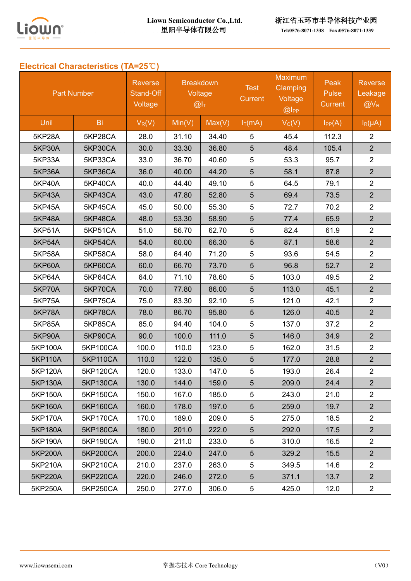

# **Electrical Characteristics (TA=25**℃**)**

| <b>Part Number</b> |                 | <b>Reverse</b><br>Stand-Off<br>Voltage | <b>Breakdown</b><br>Voltage<br>@I <sub>T</sub> |        | <b>Test</b><br>Current | <b>Maximum</b><br><b>Clamping</b><br>Voltage<br>$@$ $I$ PP | Peak<br>Pulse<br><b>Current</b> | <b>Reverse</b><br>Leakage<br>$@V_{R}$ |
|--------------------|-----------------|----------------------------------------|------------------------------------------------|--------|------------------------|------------------------------------------------------------|---------------------------------|---------------------------------------|
| Unil               | Bi              | $V_R(V)$                               | Min(V)                                         | Max(V) | $I_T(mA)$              | $V_C(V)$                                                   | $I_{PP}(A)$                     | $I_R(\mu A)$                          |
| 5KP28A             | 5KP28CA         | 28.0                                   | 31.10                                          | 34.40  | 5                      | 45.4                                                       | 112.3                           | $\overline{2}$                        |
| <b>5KP30A</b>      | 5KP30CA         | 30.0                                   | 33.30                                          | 36.80  | 5                      | 48.4                                                       | 105.4                           | $\overline{2}$                        |
| <b>5KP33A</b>      | 5KP33CA         | 33.0                                   | 36.70                                          | 40.60  | 5                      | 53.3                                                       | 95.7                            | $\overline{2}$                        |
| 5KP36A             | 5KP36CA         | 36.0                                   | 40.00                                          | 44.20  | 5                      | 58.1                                                       | 87.8                            | $\overline{2}$                        |
| <b>5KP40A</b>      | 5KP40CA         | 40.0                                   | 44.40                                          | 49.10  | 5                      | 64.5                                                       | 79.1                            | $\overline{2}$                        |
| <b>5KP43A</b>      | 5KP43CA         | 43.0                                   | 47.80                                          | 52.80  | 5                      | 69.4                                                       | 73.5                            | $\overline{2}$                        |
| <b>5KP45A</b>      | 5KP45CA         | 45.0                                   | 50.00                                          | 55.30  | 5                      | 72.7                                                       | 70.2                            | $\overline{2}$                        |
| <b>5KP48A</b>      | 5KP48CA         | 48.0                                   | 53.30                                          | 58.90  | 5                      | 77.4                                                       | 65.9                            | $\overline{2}$                        |
| 5KP51A             | 5KP51CA         | 51.0                                   | 56.70                                          | 62.70  | 5                      | 82.4                                                       | 61.9                            | $\overline{2}$                        |
| <b>5KP54A</b>      | 5KP54CA         | 54.0                                   | 60.00                                          | 66.30  | 5                      | 87.1                                                       | 58.6                            | $\overline{2}$                        |
| <b>5KP58A</b>      | 5KP58CA         | 58.0                                   | 64.40                                          | 71.20  | 5                      | 93.6                                                       | 54.5                            | $\overline{2}$                        |
| <b>5KP60A</b>      | 5KP60CA         | 60.0                                   | 66.70                                          | 73.70  | 5                      | 96.8                                                       | 52.7                            | $\overline{2}$                        |
| 5KP64A             | 5KP64CA         | 64.0                                   | 71.10                                          | 78.60  | 5                      | 103.0                                                      | 49.5                            | $\overline{2}$                        |
| <b>5KP70A</b>      | 5KP70CA         | 70.0                                   | 77.80                                          | 86.00  | 5                      | 113.0                                                      | 45.1                            | $\overline{2}$                        |
| <b>5KP75A</b>      | 5KP75CA         | 75.0                                   | 83.30                                          | 92.10  | 5                      | 121.0                                                      | 42.1                            | $\overline{2}$                        |
| 5KP78A             | 5KP78CA         | 78.0                                   | 86.70                                          | 95.80  | 5                      | 126.0                                                      | 40.5                            | $\overline{2}$                        |
| 5KP85A             | 5KP85CA         | 85.0                                   | 94.40                                          | 104.0  | 5                      | 137.0                                                      | 37.2                            | $\overline{2}$                        |
| <b>5KP90A</b>      | 5KP90CA         | 90.0                                   | 100.0                                          | 111.0  | 5                      | 146.0                                                      | 34.9                            | $\overline{2}$                        |
| 5KP100A            | 5KP100CA        | 100.0                                  | 110.0                                          | 123.0  | 5                      | 162.0                                                      | 31.5                            | $\overline{2}$                        |
| 5KP110A            | <b>5KP110CA</b> | 110.0                                  | 122.0                                          | 135.0  | 5                      | 177.0                                                      | 28.8                            | $\overline{2}$                        |
| 5KP120A            | 5KP120CA        | 120.0                                  | 133.0                                          | 147.0  | 5                      | 193.0                                                      | 26.4                            | $\overline{2}$                        |
| 5KP130A            | 5KP130CA        | 130.0                                  | 144.0                                          | 159.0  | 5                      | 209.0                                                      | 24.4                            | $\overline{2}$                        |
| 5KP150A            | 5KP150CA        | 150.0                                  | 167.0                                          | 185.0  | 5                      | 243.0                                                      | 21.0                            | $\overline{2}$                        |
| 5KP160A            | 5KP160CA        | 160.0                                  | 178.0                                          | 197.0  | 5                      | 259.0                                                      | 19.7                            | 2 <sup>1</sup>                        |
| 5KP170A            | 5KP170CA        | 170.0                                  | 189.0                                          | 209.0  | 5                      | 275.0                                                      | 18.5                            | $\overline{2}$                        |
| 5KP180A            | <b>5KP180CA</b> | 180.0                                  | 201.0                                          | 222.0  | 5                      | 292.0                                                      | 17.5                            | $\overline{2}$                        |
| 5KP190A            | 5KP190CA        | 190.0                                  | 211.0                                          | 233.0  | 5                      | 310.0                                                      | 16.5                            | $\overline{2}$                        |
| 5KP200A            | 5KP200CA        | 200.0                                  | 224.0                                          | 247.0  | 5                      | 329.2                                                      | 15.5                            | $\overline{2}$                        |
| 5KP210A            | 5KP210CA        | 210.0                                  | 237.0                                          | 263.0  | 5                      | 349.5                                                      | 14.6                            | $2^{\circ}$                           |
| 5KP220A            | <b>5KP220CA</b> | 220.0                                  | 246.0                                          | 272.0  | 5                      | 371.1                                                      | 13.7                            | 2 <sup>1</sup>                        |
| 5KP250A            | 5KP250CA        | 250.0                                  | 277.0                                          | 306.0  | 5                      | 425.0                                                      | 12.0                            | $\overline{2}$                        |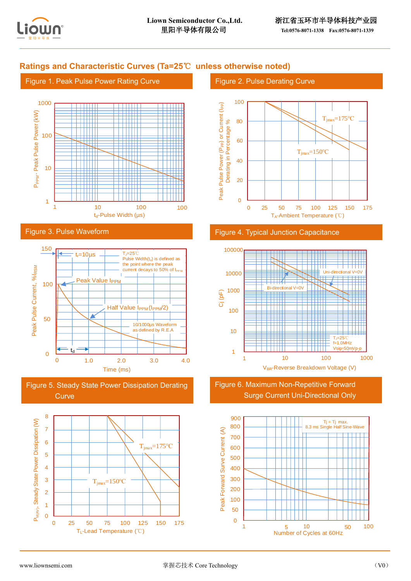

## **Ratings and Characteristic Curves (Ta=25**℃ **unless otherwise noted)**

#### Figure 1. Peak Pulse Power Rating Curve



#### Figure 3. Pulse Waveform



Figure 5. Steady State Power Dissipation Derating **Curve** 



### Figure 2. Pulse Derating Curve



#### Figure 4. Typical Junction Capacitance



Figure 6. Maximum Non-Repetitive Forward Surge Current Uni-Directional Only

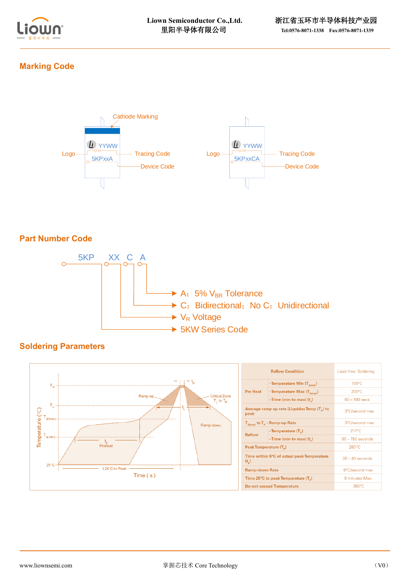

## **Marking Code**



## **Part Number Code**



## **Soldering Parameters**